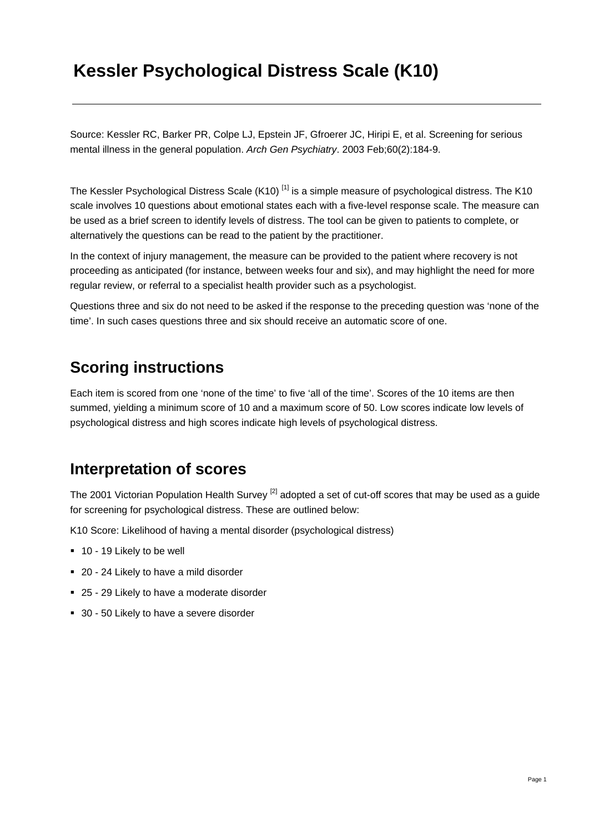## **Kessler Psychological Distress Scale (K10)**

Source: Kessler RC, Barker PR, Colpe LJ, Epstein JF, Gfroerer JC, Hiripi E, et al. Screening for serious mental illness in the general population. *Arch Gen Psychiatry*. 2003 Feb;60(2):184-9.

The Kessler Psychological Distress Scale (K10)<sup>[1]</sup> is a simple measure of psychological distress. The K10 scale involves 10 questions about emotional states each with a five-level response scale. The measure can be used as a brief screen to identify levels of distress. The tool can be given to patients to complete, or alternatively the questions can be read to the patient by the practitioner.

In the context of injury management, the measure can be provided to the patient where recovery is not proceeding as anticipated (for instance, between weeks four and six), and may highlight the need for more regular review, or referral to a specialist health provider such as a psychologist.

Questions three and six do not need to be asked if the response to the preceding question was 'none of the time'. In such cases questions three and six should receive an automatic score of one.

#### **Scoring instructions**

Each item is scored from one 'none of the time' to five 'all of the time'. Scores of the 10 items are then summed, yielding a minimum score of 10 and a maximum score of 50. Low scores indicate low levels of psychological distress and high scores indicate high levels of psychological distress.

#### **Interpretation of scores**

The 2001 Victorian Population Health Survey <sup>[2]</sup> adopted a set of cut-off scores that may be used as a quide for screening for psychological distress. These are outlined below:

K10 Score: Likelihood of having a mental disorder (psychological distress)

- 10 19 Likely to be well
- 20 24 Likely to have a mild disorder
- 25 29 Likely to have a moderate disorder
- 30 50 Likely to have a severe disorder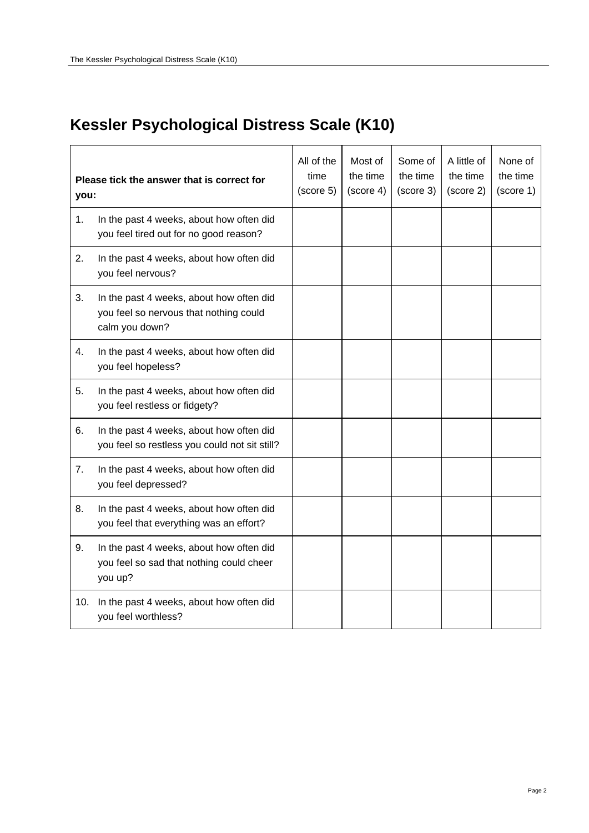# **Kessler Psychological Distress Scale (K10)**

| Please tick the answer that is correct for<br>you: |                                                                                                      | All of the<br>time<br>(score 5) | Most of<br>the time<br>(score 4) | Some of<br>the time<br>(score 3) | A little of<br>the time<br>(score 2) | None of<br>the time<br>(score 1) |
|----------------------------------------------------|------------------------------------------------------------------------------------------------------|---------------------------------|----------------------------------|----------------------------------|--------------------------------------|----------------------------------|
| 1.                                                 | In the past 4 weeks, about how often did<br>you feel tired out for no good reason?                   |                                 |                                  |                                  |                                      |                                  |
| 2.                                                 | In the past 4 weeks, about how often did<br>you feel nervous?                                        |                                 |                                  |                                  |                                      |                                  |
| 3.                                                 | In the past 4 weeks, about how often did<br>you feel so nervous that nothing could<br>calm you down? |                                 |                                  |                                  |                                      |                                  |
| 4.                                                 | In the past 4 weeks, about how often did<br>you feel hopeless?                                       |                                 |                                  |                                  |                                      |                                  |
| 5.                                                 | In the past 4 weeks, about how often did<br>you feel restless or fidgety?                            |                                 |                                  |                                  |                                      |                                  |
| 6.                                                 | In the past 4 weeks, about how often did<br>you feel so restless you could not sit still?            |                                 |                                  |                                  |                                      |                                  |
| 7.                                                 | In the past 4 weeks, about how often did<br>you feel depressed?                                      |                                 |                                  |                                  |                                      |                                  |
| 8.                                                 | In the past 4 weeks, about how often did<br>you feel that everything was an effort?                  |                                 |                                  |                                  |                                      |                                  |
| 9.                                                 | In the past 4 weeks, about how often did<br>you feel so sad that nothing could cheer<br>you up?      |                                 |                                  |                                  |                                      |                                  |
| 10.                                                | In the past 4 weeks, about how often did<br>you feel worthless?                                      |                                 |                                  |                                  |                                      |                                  |